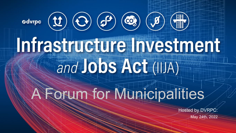

Hosted by DVRPC: May 24th, 2022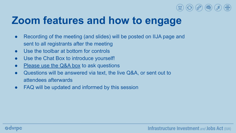

### **Zoom features and how to engage**

- Recording of the meeting (and slides) will be posted on IIJA page and sent to all registrants after the meeting
- Use the toolbar at bottom for controls
- Use the Chat Box to introduce yourself!
- Please use the Q&A box to ask questions
- Questions will be answered via text, the live Q&A, or sent out to attendees afterwards
- FAQ will be updated and informed by this session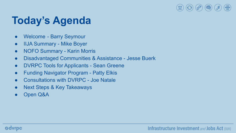

## **Today's Agenda**

- Welcome Barry Seymour
- IIJA Summary Mike Boyer
- NOFO Summary Karin Morris
- Disadvantaged Communities & Assistance Jesse Buerk
- DVRPC Tools for Applicants Sean Greene
- Funding Navigator Program Patty Elkis
- Consultations with DVRPC Joe Natale
- Next Steps & Key Takeaways
- Open Q&A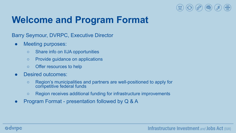

### **Welcome and Program Format**

Barry Seymour, DVRPC, Executive Director

- Meeting purposes:
	- Share info on IIJA opportunities
	- Provide guidance on applications
	- Offer resources to help
- Desired outcomes:
	- Region's municipalities and partners are well-positioned to apply for competitive federal funds
	- Region receives additional funding for infrastructure improvements
- Program Format presentation followed by Q & A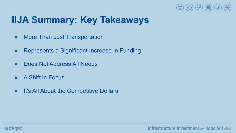

### **IIJA Summary: Key Takeaways**

- More Than Just Transportation
- Represents a Significant Increase in Funding
- Does Not Address All Needs
- A Shift in Focus
- It's All About the Competitive Dollars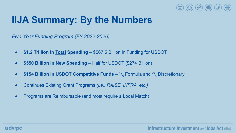

### **IIJA Summary: By the Numbers**

*Five-Year Funding Program (FY 2022-2026)*

- **\$1.2 Trillion in Total Spending**  \$567.5 Billion in Funding for USDOT
- **\$550 Billion in New Spending** Half for USDOT (\$274 Billion)
- **\$154 Billion in USDOT Competitive Funds**  $\frac{1}{3}$  Formula and  $\frac{2}{3}$  Discretionary
- Continues Existing Grant Programs *(i.e., RAISE, INFRA, etc.)*
- Programs are Reimbursable (and most require a Local Match)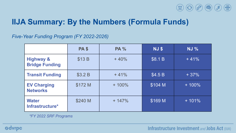

### **IIJA Summary: By the Numbers (Formula Funds)**

*Five-Year Funding Program (FY 2022-2026)*

|                                               | <b>PA \$</b> | <b>PA %</b> | <b>NJ \$</b> | <b>NJ %</b> |
|-----------------------------------------------|--------------|-------------|--------------|-------------|
| <b>Highway &amp;</b><br><b>Bridge Funding</b> | \$13B        | $+40%$      | \$8.1 B      | $+41%$      |
| <b>Transit Funding</b>                        | \$3.2 B      | $+41%$      | \$4.5 B      | $+37%$      |
| <b>EV Charging</b><br><b>Networks</b>         | \$172 M      | $+100%$     | \$104 M      | $+100%$     |
| <b>Water</b><br>Infrastructure*               | \$240 M      | $+147%$     | \$169 M      | $+101%$     |

*\*FY 2022 SRF Programs*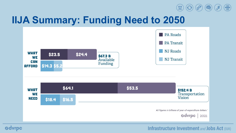

### **IIJA Summary: Funding Need to 2050**



#### Infrastructure Investment and Jobs Act (IIJA)

#### **Ødvrpc**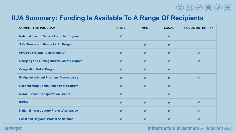

### **IIJA Summary: Funding Is Available To A Range Of Recipients**

| <b>COMPETITIVE PROGRAM</b>                         | <b>STATE</b>               | <b>MPO</b>                 | <b>LOCAL</b>               | <b>PUBLIC AUTHORITY</b> |
|----------------------------------------------------|----------------------------|----------------------------|----------------------------|-------------------------|
| <b>National Electric Vehicle Formula Program</b>   | $\mathbf v$                |                            | $\boldsymbol{\nu}$         |                         |
| <b>Safe Streets and Roads for All Program</b>      |                            | $\boldsymbol{\mathcal{U}}$ | ✔                          |                         |
| <b>PROTECT Grants (Discretionary)</b>              | $\boldsymbol{\mathcal{U}}$ |                            | ✔                          |                         |
| <b>Charging and Fueling Infrastructure Program</b> | V                          |                            | ✔                          |                         |
| <b>Congestion Relief Program</b>                   | V                          | V                          | $\boldsymbol{\mathcal{U}}$ |                         |
| <b>Bridge Investment Program (Discretionary)</b>   | $\boldsymbol{\ell}$        | v                          | ✔                          |                         |
| <b>Reconnecting Communities Pilot Program</b>      | $\boldsymbol{\mathcal{U}}$ |                            | ✔                          |                         |
| <b>Rural Surface Transportation Grants</b>         | $\mathbf{v}$               |                            | V                          |                         |
| <b>INFRA</b>                                       | ✔                          | ✔                          | ✔                          | v                       |
| <b>National Infrastructure Project Assistance</b>  | V                          | ✔                          | ✔                          |                         |
| <b>Local and Regional Project Assistance</b>       |                            |                            |                            |                         |

Infrastructure Investment and Jobs Act (IIJA)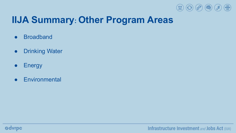

### **IIJA Summary: Other Program Areas**

- Broadband
- **•** Drinking Water
- Energy
- Environmental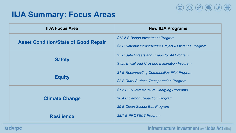

### **IIJA Summary: Focus Areas**

| <b>IIJA Focus Area</b>                      | <b>New IIJA Programs</b>                                 |  |  |
|---------------------------------------------|----------------------------------------------------------|--|--|
| <b>Asset Condition/State of Good Repair</b> | \$12.5 B Bridge Investment Program                       |  |  |
|                                             | \$5 B National Infrastructure Project Assistance Program |  |  |
|                                             | \$5 B Safe Streets and Roads for All Program             |  |  |
| <b>Safety</b>                               | \$5.5 B Railroad Crossing Elimination Program            |  |  |
|                                             | \$1 B Reconnecting Communities Pilot Program             |  |  |
| <b>Equity</b>                               | \$2 B Rural Surface Transportation Program               |  |  |
|                                             | \$7.5 B EV Infrastructure Charging Programs              |  |  |
| <b>Climate Change</b>                       | \$6.4 B Carbon Reduction Program                         |  |  |
|                                             | \$5 B Clean School Bus Program                           |  |  |
| <b>Resilience</b>                           | \$8.7 B PROTECT Program                                  |  |  |

#### **Odvrpc**

Infrastructure Investment and Jobs Act (IIJA)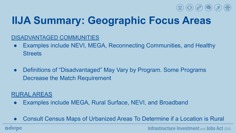

# **IIJA Summary: Geographic Focus Areas**

### DISADVANTAGED COMMUNITIES

- Examples include NEVI, MEGA, Reconnecting Communities, and Healthy **Streets**
- Definitions of "Disadvantaged" May Vary by Program. Some Programs Decrease the Match Requirement

#### RURAL AREAS

- Examples include MEGA, Rural Surface, NEVI, and Broadband
- Consult Census Maps of Urbanized Areas To Determine if a Location is Rural

**Ødvrpc** 

Infrastructure Investment and Jobs Act (IIJA)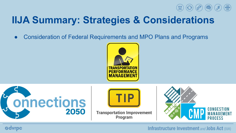

### **IIJA Summary: Strategies & Considerations**

• Consideration of Federal Requirements and MPO Plans and Programs





**Ødvrpc** 



**Transportation Improvement** Program



#### Infrastructure Investment and Jobs Act (IIJA)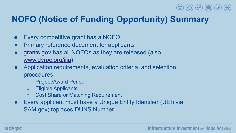

### **NOFO (Notice of Funding Opportunity) Summary**

- Every competitive grant has a NOFO
- Primary reference document for applicants
- [grants.gov](https://www.grants.gov/) has all NOFOs as they are released (also [www.dvrpc.org/iija](http://www.dvrpc.org/iija))
- Application requirements, evaluation criteria, and selection procedures
	- Project/Award Period
	- Eligible Applicants
	- Cost Share or Matching Requirement
- Every applicant must have a Unique Entity Identifier (UEI) via SAM.gov; replaces DUNS Number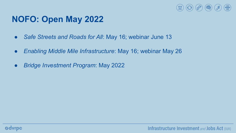

### **NOFO: Open May 2022**

- *Safe Streets and Roads for All: May 16; webinar June 13*
- *Enabling Middle Mile Infrastructure*: May 16; webinar May 26
- *● Bridge Investment Program*: May 2022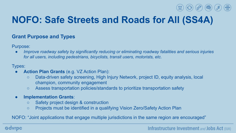### **NOFO: Safe Streets and Roads for All (SS4A)**

#### **Grant Purpose and Types**

Purpose:

*Improve roadway safety by significantly reducing or eliminating roadway fatalities and serious injuries for all users, including pedestrians, bicyclists, transit users, motorists, etc.*

Types:

- **Action Plan Grants** (e.g. VZ Action Plan):
	- Data-driven safety screening, High Injury Network, project ID, equity analysis, local champion, community engagement
	- Assess transportation policies/standards to prioritize transportation safety
- **Implementation Grants**:
	- Safety project design & construction
	- Projects must be identified in a qualifying Vision Zero/Safety Action Plan

NOFO: "Joint applications that engage multiple jurisdictions in the same region are encouraged"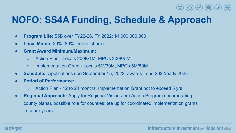

### **NOFO: SS4A Funding, Schedule & Approach**

- **Program Life:** \$5B over FY22-26, FY 2022: \$1,000,000,000
- **Local Match:** 20% (80% federal share)
- **Grant Award Minimum/Maximum:**
	- Action Plan Locals 200K/1M, MPOs 200K/5M
	- Implementation Grant Locals 5M/30M, MPOs 5M/50M
- **● Schedule:** Applications due September 15, 2022; awards end 2022/early 2023
- **Period of Performance:** 
	- Action Plan 12 to 24 months, Implementation Grant not to exceed 5 yrs
- **● Regional Approach:** Apply for Regional Vision Zero Action Program (incorporating county plans), possible role for counties; tee up for coordinated implementation grants in future years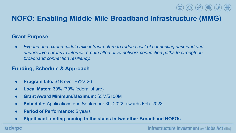### **NOFO: Enabling Middle Mile Broadband Infrastructure (MMG)**

#### **Grant Purpose**

● *Expand and extend middle mile infrastructure to reduce cost of connecting unserved and underserved areas to internet; create alternative network connection paths to strengthen broadband connection resiliency.* 

### **Funding, Schedule & Approach**

- **Program Life:** \$1B over FY22-26
- **Local Match:** 30% (70% federal share)
- **Grant Award Minimum/Maximum:** \$5M/\$100M
- **● Schedule:** Applications due September 30, 2022; awards Feb. 2023
- **Period of Performance:** 5 years
- **● Significant funding coming to the states in two other Broadband NOFOs**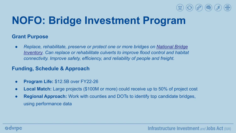

### **NOFO: Bridge Investment Program**

#### **Grant Purpose**

*● Replace, rehabilitate, preserve or protect one or more bridges on [National Bridge](https://catalog.data.gov/dataset/national-bridge-inventory-national-geospatial-data-asset-ngda-bridges) [Inventory.](https://catalog.data.gov/dataset/national-bridge-inventory-national-geospatial-data-asset-ngda-bridges) Can replace or rehabilitate culverts to improve flood control and habitat connectivity. Improve safety, efficiency, and reliability of people and freight.* 

#### **Funding, Schedule & Approach**

- **Program Life:** \$12.5B over FY22-26
- **Local Match:** Large projects (\$100M or more) could receive up to 50% of project cost
- **Regional Approach:** Work with counties and DOTs to identify top candidate bridges, using performance data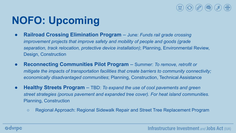

## **NOFO: Upcoming**

- **Railroad Crossing Elimination Program**  June: *Funds rail grade crossing improvement projects that improve safety and mobility of people and goods (grade separation, track relocation, protective device installation)*; Planning, Environmental Review, Design, Construction
- **Reconnecting Communities Pilot Program**  Summer: *To remove, retrofit or mitigate the impacts of transportation facilities that create barriers to community connectivity; economically disadvantaged communities*; Planning, Construction, Technical Assistance
- **Healthy Streets Program** TBD: *To expand the use of cool pavements and green street strategies (porous pavement and expanded tree cover). For heat island communities.*  Planning, Construction
	- Regional Approach: Regional Sidewalk Repair and Street Tree Replacement Program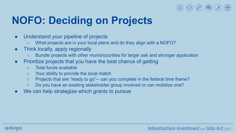

## **NOFO: Deciding on Projects**

- Understand your pipeline of projects
	- What projects are in your local plans and do they align with a NOFO?
- Think locally, apply regionally
	- Bundle projects with other munis/counties for larger ask and stronger application
- Prioritize projects that you have the best chance of getting
	- Total funds available
	- Your ability to provide the local match
	- Projects that are "ready to go"-- can you complete in the federal time frame?
	- Do you have an existing stakeholder group involved or can mobilize one?
- We can help strategize which grants to pursue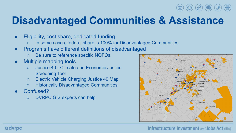# **Disadvantaged Communities & Assistance**

- Eligibility, cost share, dedicated funding
	- In some cases, federal share is 100% for Disadvantaged Communities
- Programs have different definitions of disadvantaged
	- Be sure to reference specific NOFOs
- **Multiple mapping tools** 
	- Justice 40 Climate and Economic Justice Screening Tool
	- Electric Vehicle Charging Justice 40 Map
	- Historically Disadvantaged Communities
- Confused?
	- DVRPC GIS experts can help



#### Infrastructure Investment and Jobs Act (IIJA)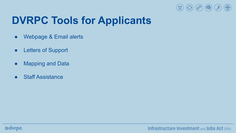

## **DVRPC Tools for Applicants**

- Webpage & Email alerts
- Letters of Support
- Mapping and Data
- **Staff Assistance**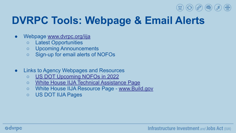

## **DVRPC Tools: Webpage & Email Alerts**

- Webpage [www.dvrpc.org/iija](http://www.dvrpc.org/iija)
	- Latest Opportunities
	- Upcoming Announcements
	- Sign-up for email alerts of NOFOs
- Links to Agency Webpages and Resources
	- [US DOT Upcoming NOFOs in 2022](https://www.transportation.gov/bipartisan-infrastructure-law/upcoming-notice-funding-opportunity-announcements-2022)
	- [White House IIJA Technical Assistance Page](https://www.whitehouse.gov/wp-content/uploads/2022/05/Infrastructure-Technical-Assistance-Guide_FINAL2.pdf)
	- White House IIJA Resource Page - [www.Build.gov](http://www.build.gov)
	- US DOT IIJA Pages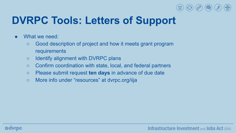

# **DVRPC Tools: Letters of Support**

- What we need:
	- Good description of project and how it meets grant program requirements
	- Identify alignment with DVRPC plans
	- Confirm coordination with state, local, and federal partners
	- Please submit request **ten days** in advance of due date
	- More info under "resources" at dvrpc.org/iija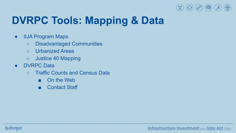

# **DVRPC Tools: Mapping & Data**

- IIJA Program Maps
	- Disadvantaged Communities
	- Urbanized Areas
	- Justice 40 Mapping
- DVRPC Data
	- Traffic Counts and Census Data
		- On the Web
		- Contact Staff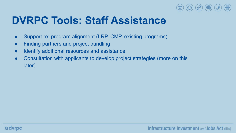

### **DVRPC Tools: Staff Assistance**

- Support re: program alignment (LRP, CMP, existing programs)
- Finding partners and project bundling
- Identify additional resources and assistance
- Consultation with applicants to develop project strategies (more on this later)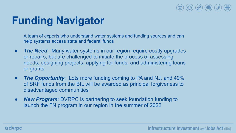

## **Funding Navigator**

A team of experts who understand water systems and funding sources and can help systems access state and federal funds

- *The Need*: Many water systems in our region require costly upgrades or repairs, but are challenged to initiate the process of assessing needs, designing projects, applying for funds, and administering loans or grants
- *The Opportunity*: Lots more funding coming to PA and NJ, and 49% of SRF funds from the BIL will be awarded as principal forgiveness to disadvantaged communities
- *New Program:* DVRPC is partnering to seek foundation funding to launch the FN program in our region in the summer of 2022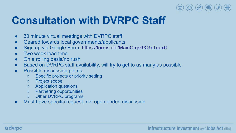

### **Consultation with DVRPC Staff**

- 30 minute virtual meetings with DVRPC staff
- Geared towards local governments/applicants
- Sign up via Google Form: <https://forms.gle/MaiuCrqs6XGxTqux6>
- Two week lead time
- On a rolling basis/no rush
- Based on DVRPC staff availability, will try to get to as many as possible
- Possible discussion points:
	- Specific projects or priority setting
	- Project scope
	- Application questions
	- Partnering opportunities
	- Other DVRPC programs
- Must have specific request, not open ended discussion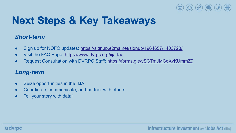

# **Next Steps & Key Takeaways**

### *Short-term*

- Sign up for NOFO updates: <https://signup.e2ma.net/signup/1964657/1403728/>
- Visit the FAQ Page: <https://www.dvrpc.org/iija-faq>
- Request Consultation with DVRPC Staff: <https://forms.gle/ySCTmJMCdXvKUmmZ9>

### *Long-term*

- Seize opportunities in the IIJA
- Coordinate, communicate, and partner with others
- Tell your story with data!